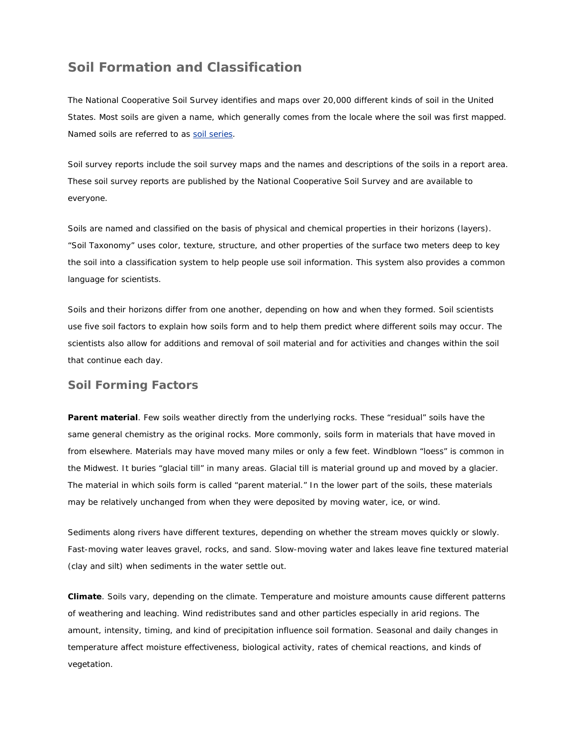# **Soil Formation and Classification**

The National Cooperative Soil Survey identifies and maps over 20,000 different kinds of soil in the United States. Most soils are given a name, which generally comes from the locale where the soil was first mapped. Named soils are referred to as [soil series.](http://soils.usda.gov/technical/classification/osd/index.html)

Soil survey reports include the soil survey maps and the names and descriptions of the soils in a report area. These soil survey reports are published by the National Cooperative Soil Survey and are available to everyone.

Soils are named and classified on the basis of physical and chemical properties in their horizons (layers). "Soil Taxonomy" uses color, texture, structure, and other properties of the surface two meters deep to key the soil into a classification system to help people use soil information. This system also provides a common language for scientists.

Soils and their horizons differ from one another, depending on how and when they formed. Soil scientists use five soil factors to explain how soils form and to help them predict where different soils may occur. The scientists also allow for additions and removal of soil material and for activities and changes within the soil that continue each day.

### **Soil Forming Factors**

**Parent material**. Few soils weather directly from the underlying rocks. These "residual" soils have the same general chemistry as the original rocks. More commonly, soils form in materials that have moved in from elsewhere. Materials may have moved many miles or only a few feet. Windblown "loess" is common in the Midwest. It buries "glacial till" in many areas. Glacial till is material ground up and moved by a glacier. The material in which soils form is called "parent material." In the lower part of the soils, these materials may be relatively unchanged from when they were deposited by moving water, ice, or wind.

Sediments along rivers have different textures, depending on whether the stream moves quickly or slowly. Fast-moving water leaves gravel, rocks, and sand. Slow-moving water and lakes leave fine textured material (clay and silt) when sediments in the water settle out.

**Climate**. Soils vary, depending on the climate. Temperature and moisture amounts cause different patterns of weathering and leaching. Wind redistributes sand and other particles especially in arid regions. The amount, intensity, timing, and kind of precipitation influence soil formation. Seasonal and daily changes in temperature affect moisture effectiveness, biological activity, rates of chemical reactions, and kinds of vegetation.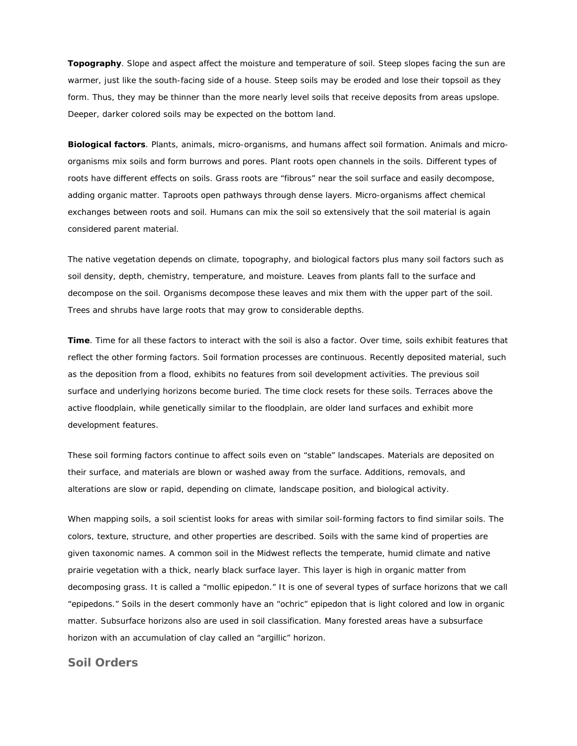**Topography**. Slope and aspect affect the moisture and temperature of soil. Steep slopes facing the sun are warmer, just like the south-facing side of a house. Steep soils may be eroded and lose their topsoil as they form. Thus, they may be thinner than the more nearly level soils that receive deposits from areas upslope. Deeper, darker colored soils may be expected on the bottom land.

**Biological factors**. Plants, animals, micro-organisms, and humans affect soil formation. Animals and microorganisms mix soils and form burrows and pores. Plant roots open channels in the soils. Different types of roots have different effects on soils. Grass roots are "fibrous" near the soil surface and easily decompose, adding organic matter. Taproots open pathways through dense layers. Micro-organisms affect chemical exchanges between roots and soil. Humans can mix the soil so extensively that the soil material is again considered parent material.

The native vegetation depends on climate, topography, and biological factors plus many soil factors such as soil density, depth, chemistry, temperature, and moisture. Leaves from plants fall to the surface and decompose on the soil. Organisms decompose these leaves and mix them with the upper part of the soil. Trees and shrubs have large roots that may grow to considerable depths.

**Time**. Time for all these factors to interact with the soil is also a factor. Over time, soils exhibit features that reflect the other forming factors. Soil formation processes are continuous. Recently deposited material, such as the deposition from a flood, exhibits no features from soil development activities. The previous soil surface and underlying horizons become buried. The time clock resets for these soils. Terraces above the active floodplain, while genetically similar to the floodplain, are older land surfaces and exhibit more development features.

These soil forming factors continue to affect soils even on "stable" landscapes. Materials are deposited on their surface, and materials are blown or washed away from the surface. Additions, removals, and alterations are slow or rapid, depending on climate, landscape position, and biological activity.

When mapping soils, a soil scientist looks for areas with similar soil-forming factors to find similar soils. The colors, texture, structure, and other properties are described. Soils with the same kind of properties are given taxonomic names. A common soil in the Midwest reflects the temperate, humid climate and native prairie vegetation with a thick, nearly black surface layer. This layer is high in organic matter from decomposing grass. It is called a "mollic epipedon." It is one of several types of surface horizons that we call "epipedons." Soils in the desert commonly have an "ochric" epipedon that is light colored and low in organic matter. Subsurface horizons also are used in soil classification. Many forested areas have a subsurface horizon with an accumulation of clay called an "argillic" horizon.

## **Soil Orders**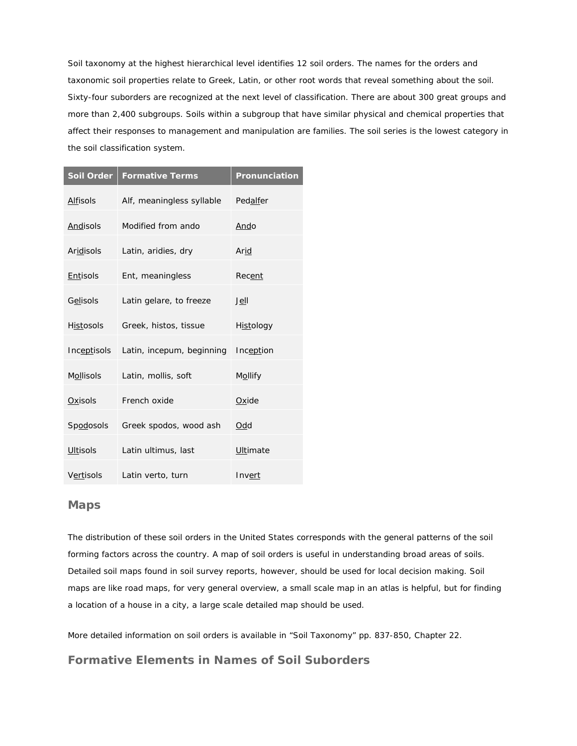Soil taxonomy at the highest hierarchical level identifies 12 soil orders. The names for the orders and taxonomic soil properties relate to Greek, Latin, or other root words that reveal something about the soil. Sixty-four suborders are recognized at the next level of classification. There are about 300 great groups and more than 2,400 subgroups. Soils within a subgroup that have similar physical and chemical properties that affect their responses to management and manipulation are families. The soil series is the lowest category in the soil classification system.

|  | <b>Soil Order</b> | <b>Formative Terms</b>    | <b>Pronunciation</b> |  |
|--|-------------------|---------------------------|----------------------|--|
|  | Alfisols          | Alf, meaningless syllable | Pedalfer             |  |
|  | Andisols          | Modified from ando        | Ando                 |  |
|  | Aridisols         | Latin, aridies, dry       | Arid                 |  |
|  | Entisols          | Ent, meaningless          | Recent               |  |
|  | Gelisols          | Latin gelare, to freeze   | Jell                 |  |
|  | <b>Histosols</b>  | Greek, histos, tissue     | Histology            |  |
|  | Inceptisols       | Latin, incepum, beginning | Inception            |  |
|  | <b>Mollisols</b>  | Latin, mollis, soft       | <b>Mollify</b>       |  |
|  | Oxisols           | French oxide              | Oxide                |  |
|  | Spodosols         | Greek spodos, wood ash    | Odd                  |  |
|  | <b>Ultisols</b>   | Latin ultimus, last       | Ultimate             |  |
|  | Vertisols         | Latin verto, turn         | Invert               |  |

#### **Maps**

The distribution of these soil orders in the United States corresponds with the general patterns of the soil forming factors across the country. A map of soil orders is useful in understanding broad areas of soils. Detailed soil maps found in soil survey reports, however, should be used for local decision making. Soil maps are like road maps, for very general overview, a small scale map in an atlas is helpful, but for finding a location of a house in a city, a large scale detailed map should be used.

More detailed information on soil orders is available in "Soil Taxonomy" pp. 837-850, Chapter 22.

**Formative Elements in Names of Soil Suborders**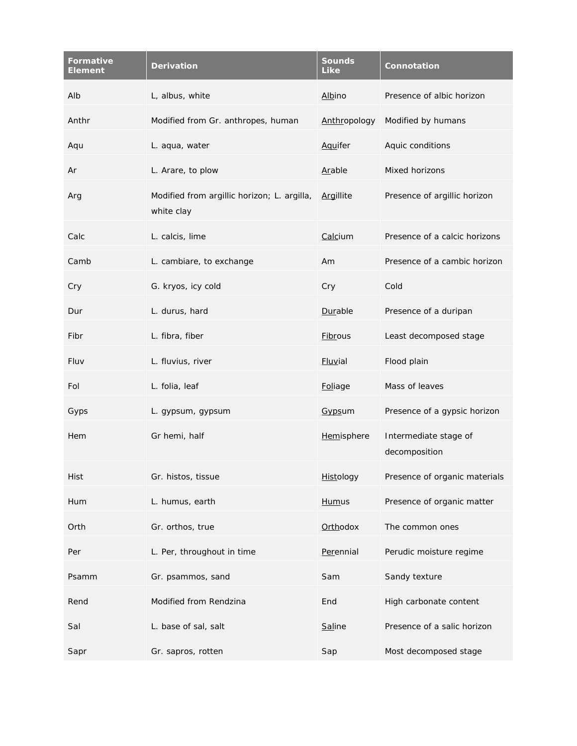| <b>Formative</b><br><b>Element</b> | <b>Derivation</b>                                         | <b>Sounds</b><br><b>Like</b> | Connotation                            |
|------------------------------------|-----------------------------------------------------------|------------------------------|----------------------------------------|
| Alb                                | L, albus, white                                           | Albino                       | Presence of albic horizon              |
| Anthr                              | Modified from Gr. anthropes, human                        | Anthropology                 | Modified by humans                     |
| Aqu                                | L. aqua, water                                            | <b>Aquifer</b>               | Aquic conditions                       |
| Ar                                 | L. Arare, to plow                                         | Arable                       | Mixed horizons                         |
| Arg                                | Modified from argillic horizon; L. argilla,<br>white clay | Argillite                    | Presence of argillic horizon           |
| Calc                               | L. calcis, lime                                           | Calcium                      | Presence of a calcic horizons          |
| Camb                               | L. cambiare, to exchange                                  | Am                           | Presence of a cambic horizon           |
| Cry                                | G. kryos, icy cold                                        | Cry                          | Cold                                   |
| Dur                                | L. durus, hard                                            | Durable                      | Presence of a duripan                  |
| Fibr                               | L. fibra, fiber                                           | <b>Fibrous</b>               | Least decomposed stage                 |
| Fluv                               | L. fluvius, river                                         | Fluvial                      | Flood plain                            |
| Fol                                | L. folia, leaf                                            | Foliage                      | Mass of leaves                         |
| Gyps                               | L. gypsum, gypsum                                         | Gypsum                       | Presence of a gypsic horizon           |
| Hem                                | Gr hemi, half                                             | Hemisphere                   | Intermediate stage of<br>decomposition |
| Hist                               | Gr. histos, tissue                                        | Histology                    | Presence of organic materials          |
| Hum                                | L. humus, earth                                           | Humus                        | Presence of organic matter             |
| Orth                               | Gr. orthos, true                                          | Orthodox                     | The common ones                        |
| Per                                | L. Per, throughout in time                                | Perennial                    | Perudic moisture regime                |
| Psamm                              | Gr. psammos, sand                                         | Sam                          | Sandy texture                          |
| Rend                               | Modified from Rendzina                                    | End                          | High carbonate content                 |
| Sal                                | L. base of sal, salt                                      | Saline                       | Presence of a salic horizon            |
| Sapr                               | Gr. sapros, rotten                                        | Sap                          | Most decomposed stage                  |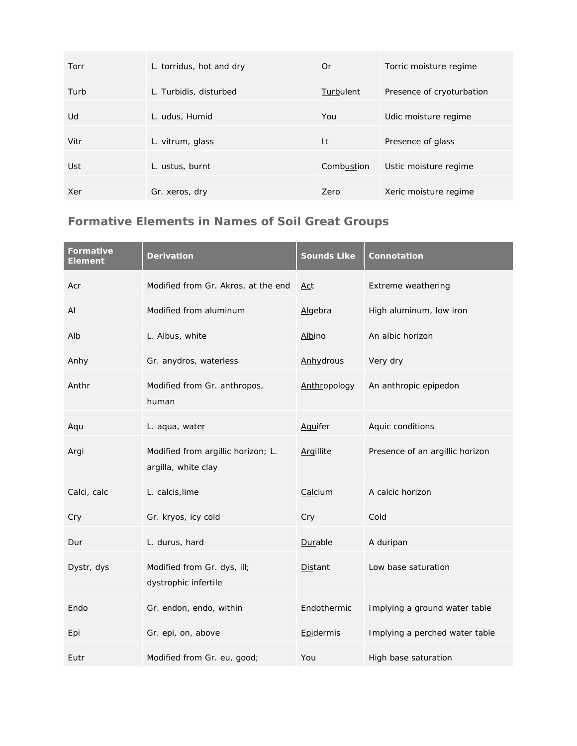| Torr | L. <i>torridus</i> , hot and dry | 0r         | Torric moisture regime    |
|------|----------------------------------|------------|---------------------------|
| Turb | L. Turbidis, disturbed           | Turbulent  | Presence of cryoturbation |
| Ud   | L. udus, Humid                   | You        | Udic moisture regime      |
| Vitr | L. vitrum, glass                 | It         | Presence of glass         |
| Ust  | L. ustus, burnt                  | Combustion | Ustic moisture regime     |
| Xer  | Gr. xeros, dry                   | Zero       | Xeric moisture regime     |

# **Formative Elements in Names of Soil Great Groups**

| <b>Formative</b><br><b>Element</b> | <b>Derivation</b>                                         | <b>Sounds Like</b> | Connotation                     |
|------------------------------------|-----------------------------------------------------------|--------------------|---------------------------------|
| Acr                                | Modified from Gr. Akros, at the end                       | <u>Act</u>         | Extreme weathering              |
| AI                                 | Modified from aluminum                                    | Algebra            | High aluminum, low iron         |
| Alb                                | L. Albus, white                                           | Albino             | An albic horizon                |
| Anhy                               | Gr. anydros, waterless                                    | Anhydrous          | Very dry                        |
| Anthr                              | Modified from Gr. anthropos,<br>human                     | Anthropology       | An anthropic epipedon           |
| Aqu                                | L. aqua, water                                            | <b>Aguifer</b>     | Aquic conditions                |
| Argi                               | Modified from argillic horizon; L.<br>argilla, white clay | Argillite          | Presence of an argillic horizon |
| Calci, calc                        | L. calcis, lime                                           | Calcium            | A calcic horizon                |
| Cry                                | Gr. kryos, icy cold                                       | Cry                | Cold                            |
| Dur                                | L. durus, hard                                            | Durable            | A duripan                       |
| Dystr, dys                         | Modified from Gr. dys, ill;<br>dystrophic infertile       | Distant            | Low base saturation             |
| Endo                               | Gr. endon, endo, within                                   | Endothermic        | Implying a ground water table   |
| Epi                                | Gr. epi, on, above                                        | Epidermis          | Implying a perched water table  |
| Eutr                               | Modified from Gr. eu, good;                               | You                | High base saturation            |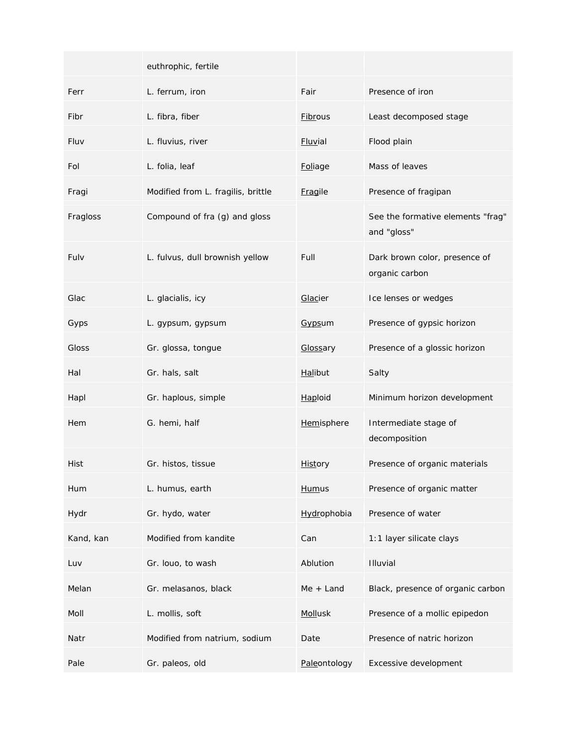|           | euthrophic, fertile                |                |                                                  |
|-----------|------------------------------------|----------------|--------------------------------------------------|
| Ferr      | L. ferrum, iron                    | Fair           | Presence of iron                                 |
| Fibr      | L. fibra, fiber                    | <b>Fibrous</b> | Least decomposed stage                           |
| Fluv      | L. fluvius, river                  | Fluvial        | Flood plain                                      |
| Fol       | L. folia, leaf                     | <b>Foliage</b> | Mass of leaves                                   |
| Fragi     | Modified from L. fragilis, brittle | Fragile        | Presence of fragipan                             |
| Fragloss  | Compound of fra (g) and gloss      |                | See the formative elements "frag"<br>and "gloss" |
| Fulv      | L. fulvus, dull brownish yellow    | Full           | Dark brown color, presence of<br>organic carbon  |
| Glac      | L. glacialis, icy                  | Glacier        | Ice lenses or wedges                             |
| Gyps      | L. gypsum, gypsum                  | Gypsum         | Presence of gypsic horizon                       |
| Gloss     | Gr. glossa, tongue                 | Glossary       | Presence of a glossic horizon                    |
| Hal       | Gr. hals, salt                     | <b>Halibut</b> | Salty                                            |
| Hapl      | Gr. haplous, simple                | Haploid        | Minimum horizon development                      |
| Hem       | G. hemi, half                      | Hemisphere     | Intermediate stage of<br>decomposition           |
| Hist      | Gr. histos, tissue                 | <b>History</b> | Presence of organic materials                    |
| Hum       | L. humus, earth                    | <b>Humus</b>   | Presence of organic matter                       |
| Hydr      | Gr. hydo, water                    | Hydrophobia    | Presence of water                                |
| Kand, kan | Modified from kandite              | Can            | 1:1 layer silicate clays                         |
| Luv       | Gr. louo, to wash                  | Ablution       | Illuvial                                         |
| Melan     | Gr. melasanos, black               | $Me + Land$    | Black, presence of organic carbon                |
| Moll      | L. mollis, soft                    | <b>Mollusk</b> | Presence of a mollic epipedon                    |
| Natr      | Modified from natrium, sodium      | Date           | Presence of natric horizon                       |
| Pale      | Gr. paleos, old                    | Paleontology   | Excessive development                            |